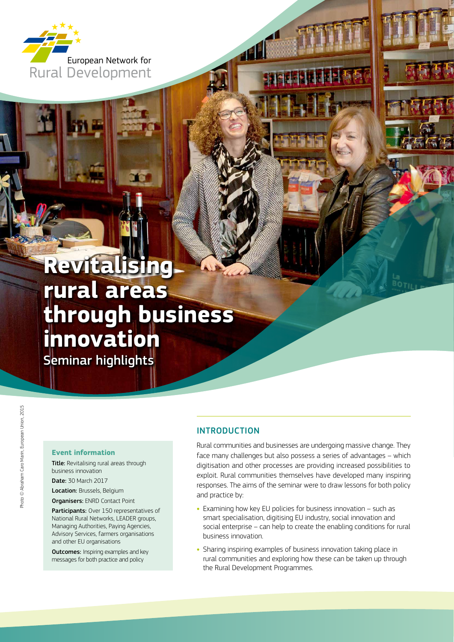

# **Revitalising rural areas through business innovation**

Seminar highlights

### **Event information**

Title: Revitalising rural areas through business innovation

Date: 30 March 2017 Location: Brussels, Belgium

Organisers: ENRD Contact Point

Participants: Over 150 representatives of National Rural Networks, LEADER groups, Managing Authorities, Paying Agencies, Advisory Services, farmers organisations and other EU organisations

**Outcomes:** Inspiring examples and key messages for both practice and policy

### INTRODUCTION

Rural communities and businesses are undergoing massive change. They face many challenges but also possess a series of advantages – which digitisation and other processes are providing increased possibilities to exploit. Rural communities themselves have developed many inspiring responses. The aims of the seminar were to draw lessons for both policy and practice by:

- **•** Examining how key EU policies for business innovation such as smart specialisation, digitising EU industry, social innovation and social enterprise – can help to create the enabling conditions for rural business innovation.
- **•** Sharing inspiring examples of business innovation taking place in rural communities and exploring how these can be taken up through the Rural Development Programmes.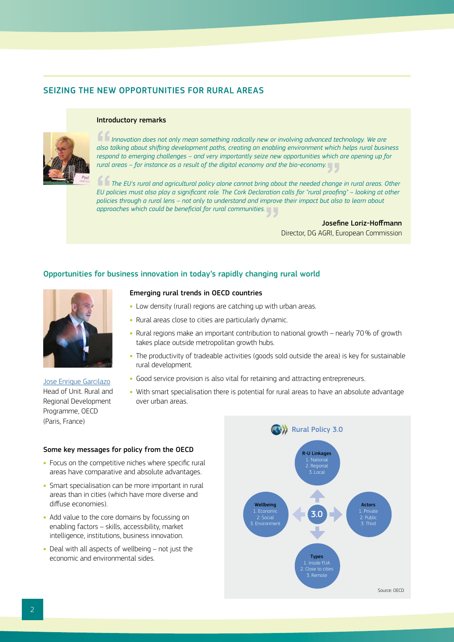### SEIZING THE NEW OPPORTUNITIES FOR RURAL AREAS



#### Introductory remarks

"*Innovation does not only mean something radically new or involving advanced technology. We are also talking about shifting development paths, creating an enabling environment which helps rural business respond to emerging challenges – and very importantly seize new opportunities which are opening up for* 

*rural areas – for instance as a result of the digital economy and the bio-economy.*"<br>The EU's rural and agricultural policy alone cannot bring about the needed change.<br>"If aglicias must also along a insifacet role. The Ca The EU's rural and agricultural policy alone cannot bring about the needed change in rural areas. Other EU policies must also play a significant role. The Cork Declaration calls for "rural proofing" – looking at other poli *EU policies must also play a significant role. The Cork Declaration calls for "rural proofing" – looking at other policies through a rural lens – not only to understand and improve their impact but also to learn about approaches which could be beneficial for rural communities.*"

> Josefine Loriz-Hoffmann Director, DG AGRI, European Commission

### Opportunities for business innovation in today's rapidly changing rural world



[Jose Enrique Garcilazo](http://enrd.ec.europa.eu/sites/enrd/files/s4_rural-businesses_rural-policy_garcilazo.pdf) Head of Unit. Rural and Regional Development Programme, OECD (Paris, France)

### Emerging rural trends in OECD countries

- **•** Low density (rural) regions are catching up with urban areas.
- **•** Rural areas close to cities are particularly dynamic.
- **•** Rural regions make an important contribution to national growth nearly 70% of growth takes place outside metropolitan growth hubs.
- **•** The productivity of tradeable activities (goods sold outside the area) is key for sustainable rural development.
- **•** Good service provision is also vital for retaining and attracting entrepreneurs.
- **•** With smart specialisation there is potential for rural areas to have an absolute advantage over urban areas.

### Some key messages for policy from the OECD

- **•** Focus on the competitive niches where specific rural areas have comparative and absolute advantages.
- **•** Smart specialisation can be more important in rural areas than in cities (which have more diverse and diffuse economies).
- **•** Add value to the core domains by focussing on enabling factors – skills, accessibility, market intelligence, institutions, business innovation.
- **•** Deal with all aspects of wellbeing not just the economic and environmental sides.

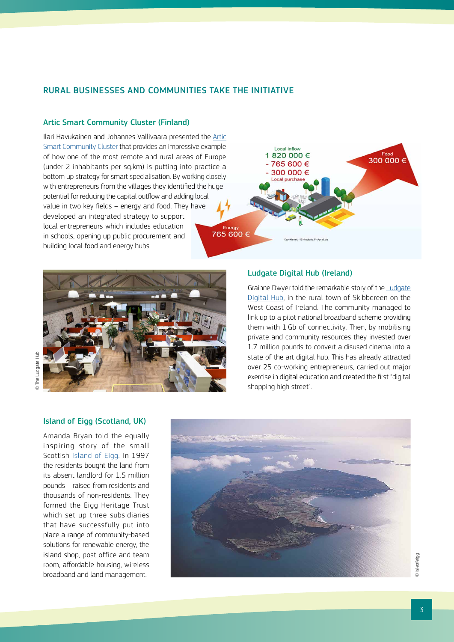### RURAL BUSINESSES AND COMMUNITIES TAKE THE INITIATIVE

### [Artic Smart Community Cluster](http://enrd.ec.europa.eu/sites/enrd/files/s4_rural-businesses_aritc-cluster_havukainen.pdf) (Finland)

Ilari Havukainen and Johannes Vallivaara presented the [Artic](http://enrd.ec.europa.eu/sites/enrd/files/s4_rural-businesses_aritc-cluster_havukainen.pdf)  [Smart Community Cluster](http://enrd.ec.europa.eu/sites/enrd/files/s4_rural-businesses_aritc-cluster_havukainen.pdf) that provides an impressive example of how one of the most remote and rural areas of Europe (under 2 inhabitants per sq.km) is putting into practice a bottom up strategy for smart specialisation. By working closely with entrepreneurs from the villages they identified the huge potential for reducing the capital outflow and adding local value in two key fields – energy and food. They have developed an integrated strategy to support local entrepreneurs which includes education in schools, opening up public procurement and building local food and energy hubs.





### [Island of Eigg](http://enrd.ec.europa.eu/sites/enrd/files/s4_rural-businesses_eigg_bryan.pdf) (Scotland, UK)

Amanda Bryan told the equally inspiring story of the small Scottish [Island of Eigg](http://enrd.ec.europa.eu/sites/enrd/files/s4_rural-businesses_eigg_bryan.pdf). In 1997 the residents bought the land from its absent landlord for 1.5 million pounds – raised from residents and thousands of non-residents. They formed the Eigg Heritage Trust which set up three subsidiaries that have successfully put into place a range of community-based solutions for renewable energy, the island shop, post office and team room, affordable housing, wireless broadband and land management.



Grainne Dwyer told the remarkable story of the [Ludgate](https://youtu.be/rtyHJnFT8Uw)  [Digital](https://youtu.be/rtyHJnFT8Uw) Hub, in the rural town of Skibbereen on the West Coast of Ireland. The community managed to link up to a pilot national broadband scheme providing them with 1 Gb of connectivity. Then, by mobilising private and community resources they invested over 1.7 million pounds to convert a disused cinema into a state of the art digital hub. This has already attracted over 25 co‑working entrepreneurs, carried out major exercise in digital education and created the first "digital shopping high street".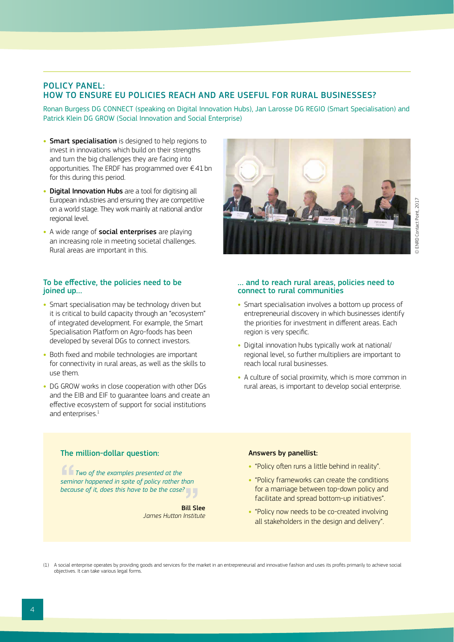### POLICY PANEL: HOW TO ENSURE EU POLICIES REACH AND ARE USEFUL FOR RURAL BUSINESSES?

Ronan Burgess DG CONNECT (speaking on Digital Innovation Hubs), Jan Larosse DG REGIO (Smart Specialisation) and Patrick Klein DG GROW (Social Innovation and Social Enterprise)

- **•** Smart specialisation is designed to help regions to invest in innovations which build on their strengths and turn the big challenges they are facing into opportunities. The ERDF has programmed over  $\epsilon$  41 bn for this during this period.
- **Digital Innovation Hubs** are a tool for digitising all European industries and ensuring they are competitive on a world stage. They work mainly at national and/or regional level.
- **•** A wide range of social enterprises are playing an increasing role in meeting societal challenges. Rural areas are important in this.

### To be effective, the policies need to be joined up...

- **•** Smart specialisation may be technology driven but it is critical to build capacity through an "ecosystem" of integrated development. For example, the Smart Specialisation Platform on Agro-foods has been developed by several DGs to connect investors.
- **•** Both fixed and mobile technologies are important for connectivity in rural areas, as well as the skills to use them.
- **•** DG GROW works in close cooperation with other DGs and the EIB and EIF to guarantee loans and create an effective ecosystem of support for social institutions and enterprises.<sup>1</sup>



#### … and to reach rural areas, policies need to connect to rural communities

- **•** Smart specialisation involves a bottom up process of entrepreneurial discovery in which businesses identify the priorities for investment in different areas. Each region is very specific.
- **•** Digital innovation hubs typically work at national/ regional level, so further multipliers are important to reach local rural businesses.
- **•** A culture of social proximity, which is more common in rural areas, is important to develop social enterprise.

### The million-dollar question:

"*Two of the examples presented at the seminar happened in spite of policy rather than*  **because of it, does this have to be the case?<br>Bill Sl<br>Iames Hutton Institu** 

*James Hutton Institute* Bill Slee

#### Answers by panellist:

- **•** "Policy often runs a little behind in reality".
- **•** "Policy frameworks can create the conditions for a marriage between top-down policy and facilitate and spread bottom-up initiatives".
- **•** "Policy now needs to be co-created involving all stakeholders in the design and delivery".

(1) A social enterprise operates by providing goods and services for the market in an entrepreneurial and innovative fashion and uses its profits primarily to achieve social objectives. It can take various legal forms.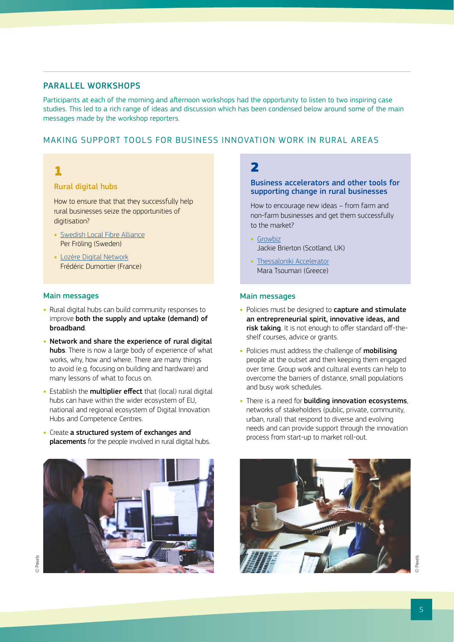### PARALLEL WORKSHOPS

Participants at each of the morning and afternoon workshops had the opportunity to listen to two inspiring case studies. This led to a rich range of ideas and discussion which has been condensed below around some of the main messages made by the workshop reporters.

### MAKING SUPPORT TOOLS FOR BUSINESS INNOVATION WORK IN RURAL AREAS

### 1

### Rural digital hubs

How to ensure that that they successfully help rural businesses seize the opportunities of digitisation?

- **•** [Swedish Local Fibre Alliance](http://enrd.ec.europa.eu/sites/enrd/files/s4_rural-businesses_swedish-local-fibre_froling_0.pdf) Per Fröling (Sweden)
- **•** [Lozère Digital Network](http://prezi.com/z_ioy7uu6a31/?utm_campaign=share&utm_medium=copy) Frédéric Dumortier (France)

### Main messages

- **•** Rural digital hubs can build community responses to improve both the supply and uptake (demand) of broadband.
- **•** Network and share the experience of rural digital hubs. There is now a large body of experience of what works, why, how and where. There are many things to avoid (e.g. focusing on building and hardware) and many lessons of what to focus on.
- **•** Establish the multiplier effect that (local) rural digital hubs can have within the wider ecosystem of EU, national and regional ecosystem of Digital Innovation Hubs and Competence Centres.
- **•** Create a structured system of exchanges and placements for the people involved in rural digital hubs.



### $\overline{\mathbf{z}}$

### Business accelerators and other tools for supporting change in rural businesses

How to encourage new ideas – from farm and non-farm businesses and get them successfully to the market?

- **•** [Growbiz](http://enrd.ec.europa.eu/sites/enrd/files/s4_rural-businesses_growbiz_brierton.pdf) Jackie Brierton (Scotland, UK)
- **•** [Thessaloniki Accelerator](http://enrd.ec.europa.eu/sites/enrd/files/s4_rural-businesses_agrient_tsoumari.pdf) Mara Tsoumari (Greece)

### Main messages

- **•** Policies must be designed to capture and stimulate an entrepreneurial spirit, innovative ideas, and risk taking. It is not enough to offer standard off-theshelf courses, advice or grants.
- **•** Policies must address the challenge of mobilising people at the outset and then keeping them engaged over time. Group work and cultural events can help to overcome the barriers of distance, small populations and busy work schedules.
- **•** There is a need for building innovation ecosystems, networks of stakeholders (public, private, community, urban, rural) that respond to diverse and evolving needs and can provide support through the innovation process from start-up to market roll-out.

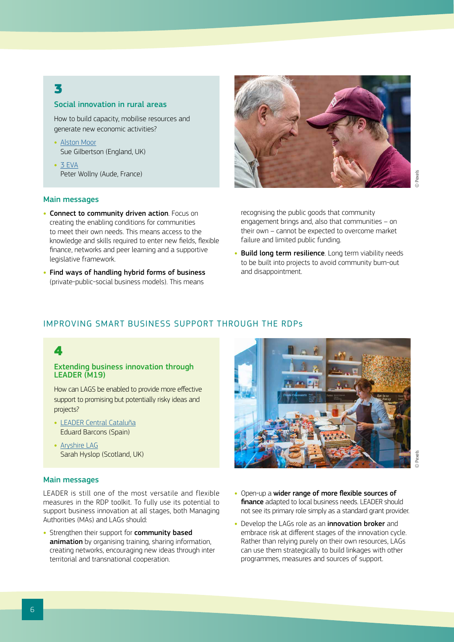### 3

### Social innovation in rural areas

How to build capacity, mobilise resources and generate new economic activities?

- **•** [Alston Moor](http://enrd.ec.europa.eu/sites/enrd/files/s4_rural-businesses_alston-moor_gilbertson.pdf) Sue Gilbertson (England, UK)
- **•** [3 EVA](https://prezi.com/gfn01vnszkcw/a-local-hub-for-economic-collaboration/?utm_campaign=share&utm_medium=copy) Peter Wollny (Aude, France)

### Main messages

- **•** Connect to community driven action. Focus on creating the enabling conditions for communities to meet their own needs. This means access to the knowledge and skills required to enter new fields, flexible finance, networks and peer learning and a supportive legislative framework.
- **•** Find ways of handling hybrid forms of business (private-public-social business models). This means



recognising the public goods that community engagement brings and, also that communities – on their own – cannot be expected to overcome market failure and limited public funding.

**•** Build long term resilience. Long term viability needs to be built into projects to avoid community burn-out and disappointment.

### IMPROVING SMART BUSINESS SUPPORT THROUGH THE RDPs

### 4

#### Extending business innovation through LEADER (M19)

How can LAGS be enabled to provide more effective support to promising but potentially risky ideas and projects?

- **•** [LEADER Central Cataluña](http://enrd.ec.europa.eu/sites/enrd/files/s4_rural-businesses_central-catalonia_barcons.pdf) Eduard Barcons (Spain)
- **•** [Aryshire LAG](http://enrd.ec.europa.eu/sites/enrd/files/s4_rural-businesses_ayrshire_hyslop.pdf) Sarah Hyslop (Scotland, UK)

### Main messages

LEADER is still one of the most versatile and flexible measures in the RDP toolkit. To fully use its potential to support business innovation at all stages, both Managing Authorities (MAs) and LAGs should:

• Strengthen their support for **community based** animation by organising training, sharing information, creating networks, encouraging new ideas through inter territorial and transnational cooperation.



- **•** Open-up a wider range of more flexible sources of finance adapted to local business needs. LEADER should not see its primary role simply as a standard grant provider.
- **•** Develop the LAGs role as an innovation broker and embrace risk at different stages of the innovation cycle. Rather than relying purely on their own resources, LAGs can use them strategically to build linkages with other programmes, measures and sources of support.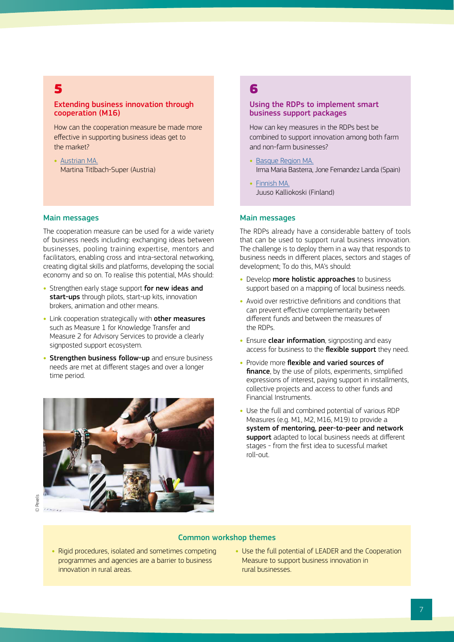### 5

### Extending business innovation through cooperation (M16)

How can the cooperation measure be made more effective in supporting business ideas get to the market?

**•** [Austrian MA.](http://enrd.ec.europa.eu/sites/enrd/files/s4_rural-businesses_innovative-tourism_titlbach.pdf) Martina Titlbach-Super (Austria)

#### Main messages

The cooperation measure can be used for a wide variety of business needs including: exchanging ideas between businesses, pooling training expertise, mentors and facilitators, enabling cross and intra-sectoral networking, creating digital skills and platforms, developing the social economy and so on. To realise this potential, MAs should:

- **•** Strengthen early stage support for new ideas and start-ups through pilots, start-up kits, innovation brokers, animation and other means.
- **•** Link cooperation strategically with other measures such as Measure 1 for Knowledge Transfer and Measure 2 for Advisory Services to provide a clearly signposted support ecosystem.
- **•** Strengthen business follow-up and ensure business needs are met at different stages and over a longer time period.



© Pexels

### 6

### Using the RDPs to implement smart business support packages

How can key measures in the RDPs best be combined to support innovation among both farm and non-farm businesses?

- **•** [Basque Region MA.](http://enrd.ec.europa.eu/sites/enrd/files/s4_rural-businesses_measures-packages-basque-rdp_landa.pdf) Irma Maria Basterra, Jone Fernandez Landa (Spain)
- **•** [Finnish MA.](http://enrd.ec.europa.eu/sites/enrd/files/s4_rural-businesses-entrepreneurship_kalliokoski.pdf) Juuso Kalliokoski (Finland)

### Main messages

The RDPs already have a considerable battery of tools that can be used to support rural business innovation. The challenge is to deploy them in a way that responds to business needs in different places, sectors and stages of development; To do this, MA's should:

- Develop **more holistic approaches** to business support based on a mapping of local business needs.
- **•** Avoid over restrictive definitions and conditions that can prevent effective complementarity between different funds and between the measures of the RDPs.
- Ensure **clear information**, signposting and easy access for business to the flexible support they need.
- **•** Provide more flexible and varied sources of finance, by the use of pilots, experiments, simplified expressions of interest, paying support in installments, collective projects and access to other funds and Financial Instruments.
- **•** Use the full and combined potential of various RDP Measures (e.g. M1, M2, M16, M19) to provide a system of mentoring, peer-to-peer and network support adapted to local business needs at different stages - from the first idea to sucessful market roll‑out.

### Common workshop themes

- **•** Rigid procedures, isolated and sometimes competing programmes and agencies are a barrier to business innovation in rural areas.
- **•** Use the full potential of LEADER and the Cooperation Measure to support business innovation in rural businesses.